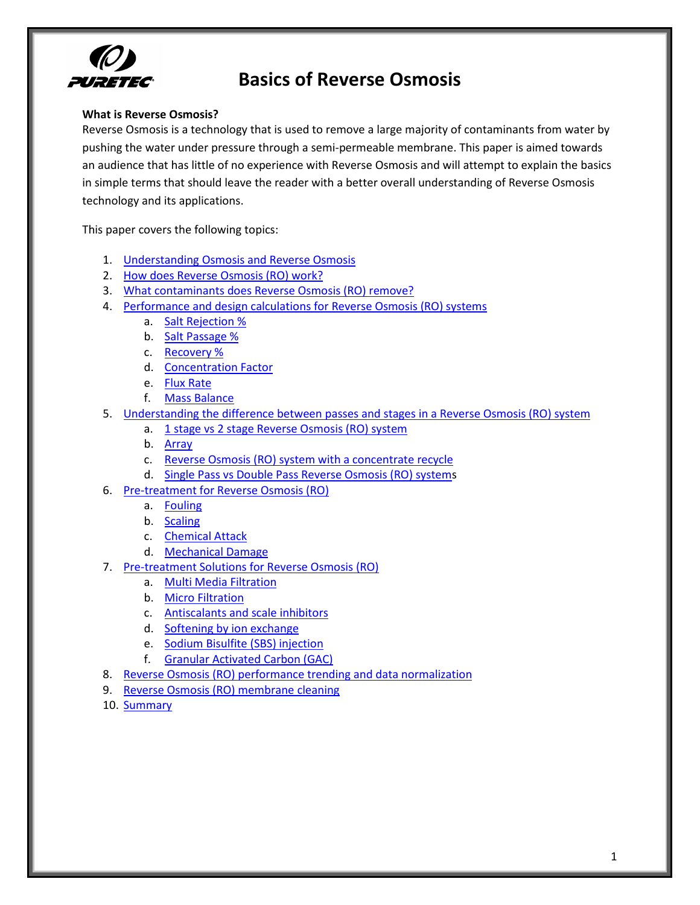

### **What is Reverse Osmosis?**

Reverse Osmosis is a technology that is used to remove a large majority of contaminants from water by pushing the water under pressure through a semi-permeable membrane. This paper is aimed towards an audience that has little of no experience with Reverse Osmosis and will attempt to explain the basics in simple terms that should leave the reader with a better overall understanding of Reverse Osmosis technology and its applications.

This paper covers the following topics:

- 1. Understanding Osmosis and Reverse Osmosis
- 2. How does Reverse Osmosis (RO) work?
- 3. What contaminants does Reverse Osmosis (RO) remove?
- 4. Performance and design calculations for Reverse Osmosis (RO) systems
	- a. Salt Rejection %
	- b. Salt Passage %
	- c. Recovery %
	- d. Concentration Factor
	- e. [Flux!Rate](#page-5-0)
	- f. Mass [Balance](#page-6-0)
- 5. Understanding the difference between passes and stages in a Reverse Osmosis (RO) system
	- a. 1 stage vs 2 stage Reverse Osmosis (RO) system
	- b. [Array](#page-8-0)
	- c. Reverse Osmosis (RO) system with a concentrate recycle
	- d. Single Pass vs Double Pass Reverse Osmosis (RO) systems
- 6. Pre-treatment for Reverse Osmosis (RO)
	- a. [Fouling](#page-10-1)
	- b. [Scaling](#page-10-2)
	- c. Chemical Attack
	- d. Mechanical Damage
- 7. Pre-treatment Solutions for Reverse Osmosis (RO)
	- a. Multi Media Filtration
	- b. Micro Filtration
	- c. Antiscalants and scale inhibitors
	- d. Softening by ion exchange
	- e. Sodium Bisulfite (SBS) injection
	- f. Granular Activated Carbon (GAC)
- 8. Reverse Osmosis (RO) performance trending and data normalization
- 9. Reverse Osmosis (RO) membrane cleaning
- 10. [Summary](#page-13-1)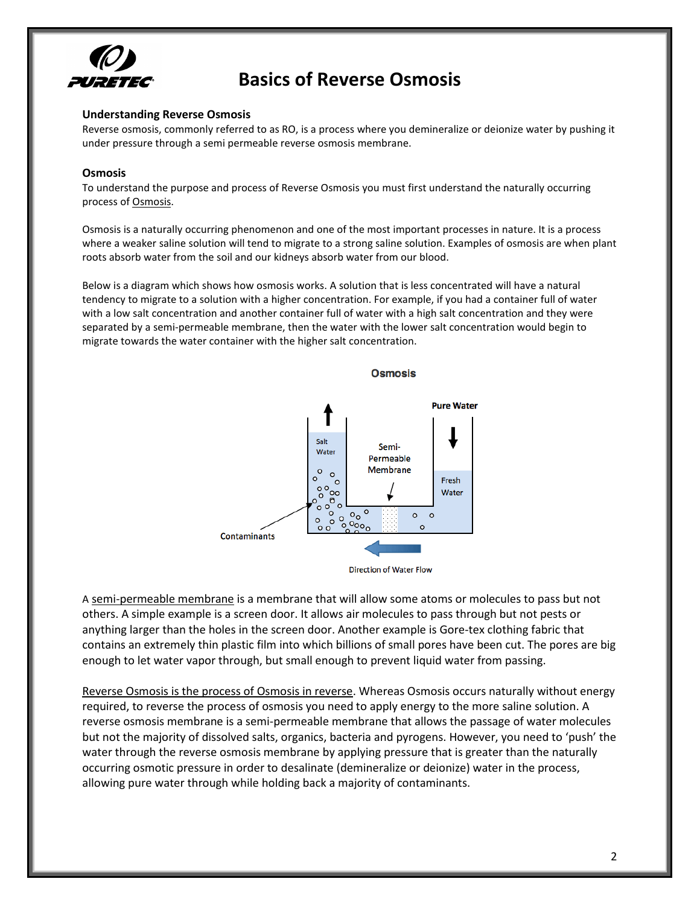

#### <span id="page-1-0"></span>**Understanding Reverse Osmosis**

Reverse osmosis, commonly referred to as RO, is a process where you demineralize or deionize water by pushing it under pressure through a semi permeable reverse osmosis membrane.

#### **Osmosis**

To understand the purpose and process of Reverse Osmosis you must first understand the naturally occurring process of Osmosis.

Osmosis is a naturally occurring phenomenon and one of the most important processes in nature. It is a process where a weaker saline solution will tend to migrate to a strong saline solution. Examples of osmosis are when plant roots absorb water from the soil and our kidneys absorb water from our blood.

Below is a diagram which shows how osmosis works. A solution that is less concentrated will have a natural tendency to migrate to a solution with a higher concentration. For example, if you had a container full of water with a low salt concentration and another container full of water with a high salt concentration and they were separated by a semi-permeable membrane, then the water with the lower salt concentration would begin to migrate towards the water container with the higher salt concentration.



**Direction of Water Flow** 

A semi-permeable membrane is a membrane that will allow some atoms or molecules to pass but not others. A simple example is a screen door. It allows air molecules to pass through but not pests or anything larger than the holes in the screen door. Another example is Gore-tex clothing fabric that contains an extremely thin plastic film into which billions of small pores have been cut. The pores are big enough to let water vapor through, but small enough to prevent liquid water from passing.

Reverse Osmosis is the process of Osmosis in reverse. Whereas Osmosis occurs naturally without energy required, to reverse the process of osmosis you need to apply energy to the more saline solution. A reverse osmosis membrane is a semi-permeable membrane that allows the passage of water molecules but not the majority of dissolved salts, organics, bacteria and pyrogens. However, you need to 'push' the water through the reverse osmosis membrane by applying pressure that is greater than the naturally occurring osmotic pressure in order to desalinate (demineralize or deionize) water in the process, allowing pure water through while holding back a majority of contaminants.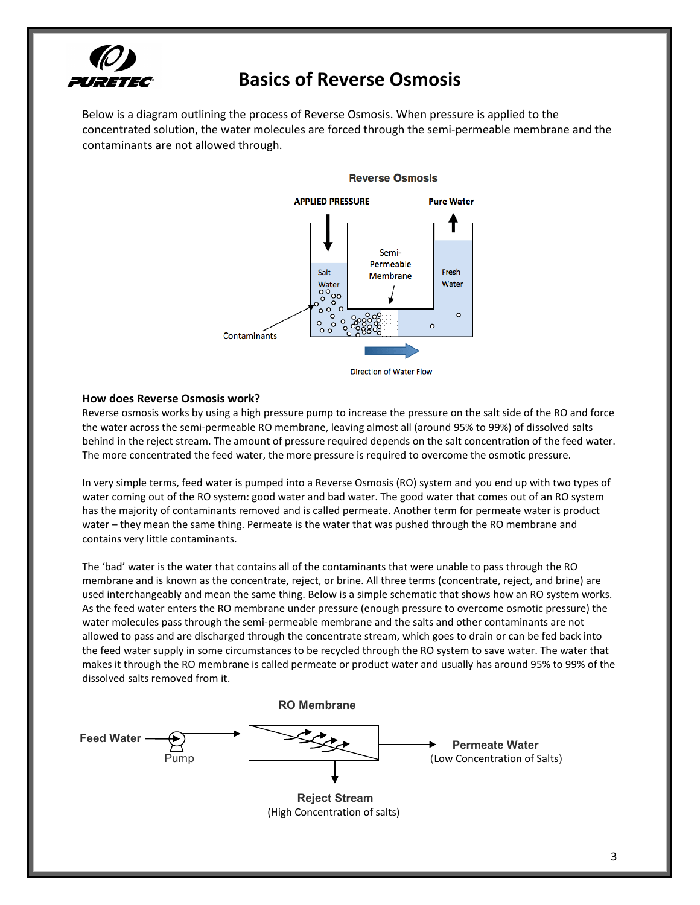

Below is a diagram outlining the process of Reverse Osmosis. When pressure is applied to the concentrated solution, the water molecules are forced through the semi-permeable membrane and the contaminants are not allowed through.



#### **Reverse Osmosis**

Direction of Water Flow

#### <span id="page-2-0"></span>**How does Reverse Osmosis work?**

Reverse osmosis works by using a high pressure pump to increase the pressure on the salt side of the RO and force the water across the semi-permeable RO membrane, leaving almost all (around 95% to 99%) of dissolved salts behind in the reject stream. The amount of pressure required depends on the salt concentration of the feed water. The more concentrated the feed water, the more pressure is required to overcome the osmotic pressure.

In very simple terms, feed water is pumped into a Reverse Osmosis (RO) system and you end up with two types of water coming out of the RO system: good water and bad water. The good water that comes out of an RO system has the majority of contaminants removed and is called permeate. Another term for permeate water is product water – they mean the same thing. Permeate is the water that was pushed through the RO membrane and contains very little contaminants.

The 'bad' water is the water that contains all of the contaminants that were unable to pass through the RO membrane and is known as the concentrate, reject, or brine. All three terms (concentrate, reject, and brine) are used interchangeably and mean the same thing. Below is a simple schematic that shows how an RO system works. As the feed water enters the RO membrane under pressure (enough pressure to overcome osmotic pressure) the water molecules pass through the semi-permeable membrane and the salts and other contaminants are not allowed to pass and are discharged through the concentrate stream, which goes to drain or can be fed back into the feed water supply in some circumstances to be recycled through the RO system to save water. The water that makes it through the RO membrane is called permeate or product water and usually has around 95% to 99% of the dissolved salts removed from it.

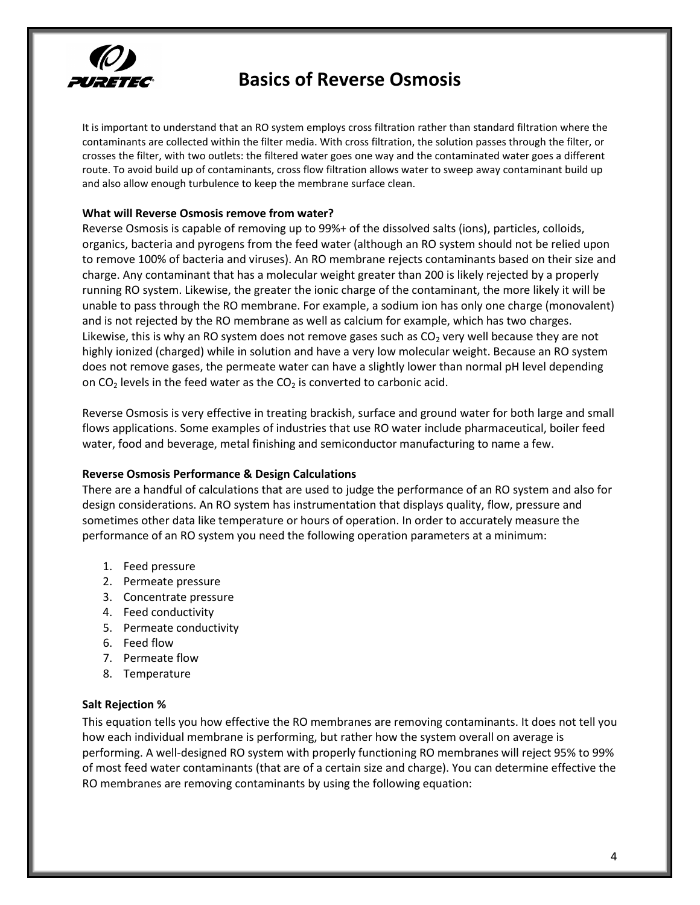

It is important to understand that an RO system employs cross filtration rather than standard filtration where the contaminants are collected within the filter media. With cross filtration, the solution passes through the filter, or crosses the filter, with two outlets: the filtered water goes one way and the contaminated water goes a different route. To avoid build up of contaminants, cross flow filtration allows water to sweep away contaminant build up and also allow enough turbulence to keep the membrane surface clean.

## <span id="page-3-0"></span>**What will Reverse Osmosis remove from water?**

Reverse Osmosis is capable of removing up to 99%+ of the dissolved salts (ions), particles, colloids, organics, bacteria and pyrogens from the feed water (although an RO system should not be relied upon to remove 100% of bacteria and viruses). An RO membrane rejects contaminants based on their size and charge. Any contaminant that has a molecular weight greater than 200 is likely rejected by a properly running RO system. Likewise, the greater the ionic charge of the contaminant, the more likely it will be unable to pass through the RO membrane. For example, a sodium ion has only one charge (monovalent) and is not rejected by the RO membrane as well as calcium for example, which has two charges. Likewise, this is why an RO system does not remove gases such as  $CO<sub>2</sub>$  very well because they are not highly ionized (charged) while in solution and have a very low molecular weight. Because an RO system does not remove gases, the permeate water can have a slightly lower than normal pH level depending on  $CO<sub>2</sub>$  levels in the feed water as the  $CO<sub>2</sub>$  is converted to carbonic acid.

Reverse Osmosis is very effective in treating brackish, surface and ground water for both large and small flows applications. Some examples of industries that use RO water include pharmaceutical, boiler feed water, food and beverage, metal finishing and semiconductor manufacturing to name a few.

### <span id="page-3-1"></span>Reverse Osmosis Performance & Design Calculations

There are a handful of calculations that are used to judge the performance of an RO system and also for design considerations. An RO system has instrumentation that displays quality, flow, pressure and sometimes other data like temperature or hours of operation. In order to accurately measure the performance of an RO system you need the following operation parameters at a minimum:

- 1. Feed pressure
- 2. Permeate pressure
- 3. Concentrate pressure
- 4. Feed conductivity
- 5. Permeate conductivity
- 6. Feed flow
- 7. Permeate flow
- 8. Temperature

# <span id="page-3-2"></span>**Salt!Rejection %**

This equation tells you how effective the RO membranes are removing contaminants. It does not tell you how each individual membrane is performing, but rather how the system overall on average is performing. A well-designed RO system with properly functioning RO membranes will reject 95% to 99% of most feed water contaminants (that are of a certain size and charge). You can determine effective the RO membranes are removing contaminants by using the following equation: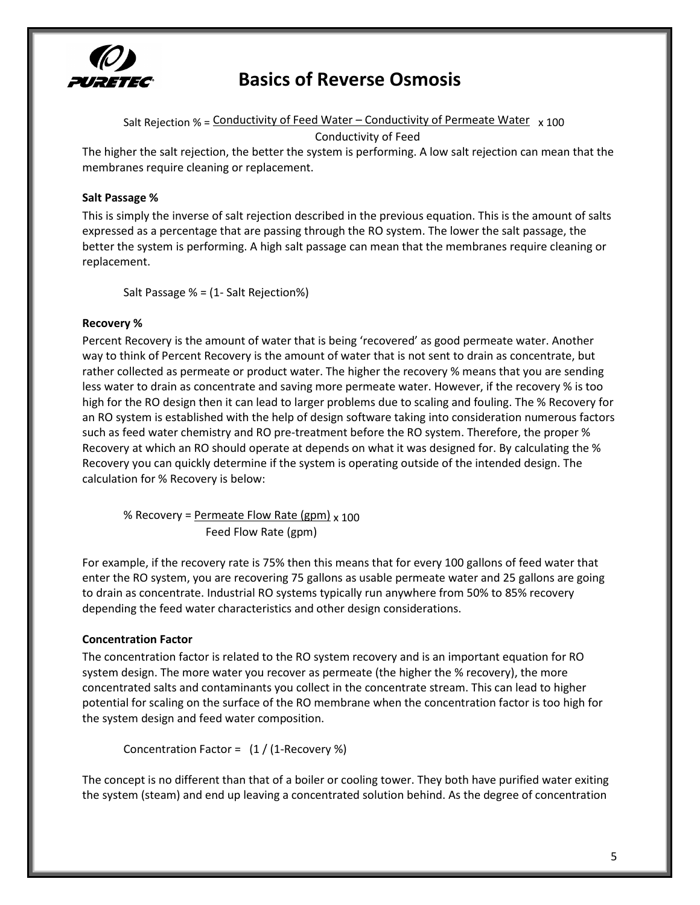

Salt Rejection % = Conductivity of Feed Water – Conductivity of Permeate Water  $\frac{x}{100}$ Conductivity of Feed

The higher the salt rejection, the better the system is performing. A low salt rejection can mean that the membranes require cleaning or replacement.

# <span id="page-4-0"></span>**Salt!Passage!%**

This is simply the inverse of salt rejection described in the previous equation. This is the amount of salts expressed as a percentage that are passing through the RO system. The lower the salt passage, the better the system is performing. A high salt passage can mean that the membranes require cleaning or replacement.

Salt Passage % = (1- Salt Rejection%)

#### <span id="page-4-1"></span>**Recovery!%**

Percent Recovery is the amount of water that is being 'recovered' as good permeate water. Another way to think of Percent Recovery is the amount of water that is not sent to drain as concentrate, but rather collected as permeate or product water. The higher the recovery % means that you are sending less water to drain as concentrate and saving more permeate water. However, if the recovery % is too high for the RO design then it can lead to larger problems due to scaling and fouling. The % Recovery for an RO system is established with the help of design software taking into consideration numerous factors such as feed water chemistry and RO pre-treatment before the RO system. Therefore, the proper % Recovery at which an RO should operate at depends on what it was designed for. By calculating the % Recovery you can quickly determine if the system is operating outside of the intended design. The calculation for % Recovery is below:

% Recovery = Permeate Flow Rate (gpm)  $\times$  100 Feed Flow Rate (gpm)

For example, if the recovery rate is 75% then this means that for every 100 gallons of feed water that enter the RO system, you are recovering 75 gallons as usable permeate water and 25 gallons are going to drain as concentrate. Industrial RO systems typically run anywhere from 50% to 85% recovery depending the feed water characteristics and other design considerations.

### <span id="page-4-2"></span>**Concentration!Factor**

The concentration factor is related to the RO system recovery and is an important equation for RO system design. The more water you recover as permeate (the higher the % recovery), the more concentrated salts and contaminants you collect in the concentrate stream. This can lead to higher potential for scaling on the surface of the RO membrane when the concentration factor is too high for the system design and feed water composition.

Concentration Factor =  $(1 / (1 \text{-Recovery } \%)$ 

The concept is no different than that of a boiler or cooling tower. They both have purified water exiting the system (steam) and end up leaving a concentrated solution behind. As the degree of concentration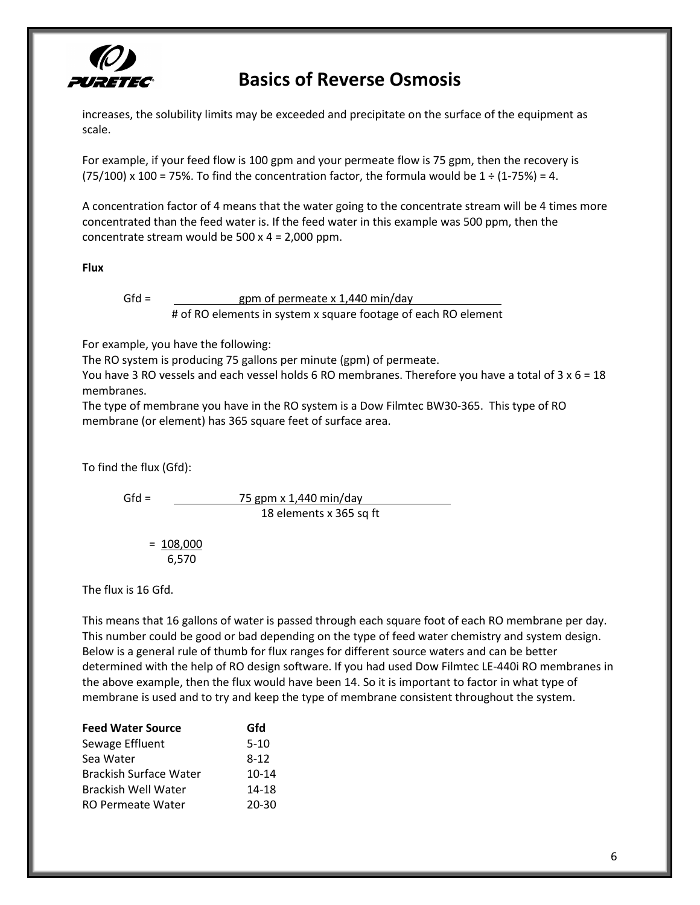

increases, the solubility limits may be exceeded and precipitate on the surface of the equipment as scale.

For example, if your feed flow is 100 gpm and your permeate flow is 75 gpm, then the recovery is (75/100) x 100 = 75%. To find the concentration factor, the formula would be  $1 \div (1-75\%) = 4$ .

A concentration factor of 4 means that the water going to the concentrate stream will be 4 times more concentrated than the feed water is. If the feed water in this example was 500 ppm, then the concentrate stream would be  $500 \times 4 = 2,000$  ppm.

<span id="page-5-0"></span>**Flux**

$$
\mathsf{Gfd} =
$$

gpm of permeate x 1,440 min/day # of RO elements in system x square footage of each RO element

For example, you have the following:

The RO system is producing 75 gallons per minute (gpm) of permeate.

You have 3 RO vessels and each vessel holds 6 RO membranes. Therefore you have a total of  $3 \times 6 = 18$ membranes.

The type of membrane you have in the RO system is a Dow Filmtec BW30-365. This type of RO membrane (or element) has 365 square feet of surface area.

To find the flux (Gfd):

 $Gfd = \frac{75 \text{ gpm} \times 1,440 \text{ min/day}}{1}$ 18 elements x 365 sq ft

$$
=\frac{108,000}{6,570}
$$

The flux is 16 Gfd.

This means that 16 gallons of water is passed through each square foot of each RO membrane per day. This number could be good or bad depending on the type of feed water chemistry and system design. Below is a general rule of thumb for flux ranges for different source waters and can be better determined with the help of RO design software. If you had used Dow Filmtec LE-440i RO membranes in the above example, then the flux would have been 14. So it is important to factor in what type of membrane is used and to try and keep the type of membrane consistent throughout the system.

| <b>Feed Water Source</b> | Gfd       |
|--------------------------|-----------|
| Sewage Effluent          | $5-10$    |
| Sea Water                | $8 - 12$  |
| Brackish Surface Water   | $10 - 14$ |
| Brackish Well Water      | 14-18     |
| <b>RO Permeate Water</b> | 20-30     |
|                          |           |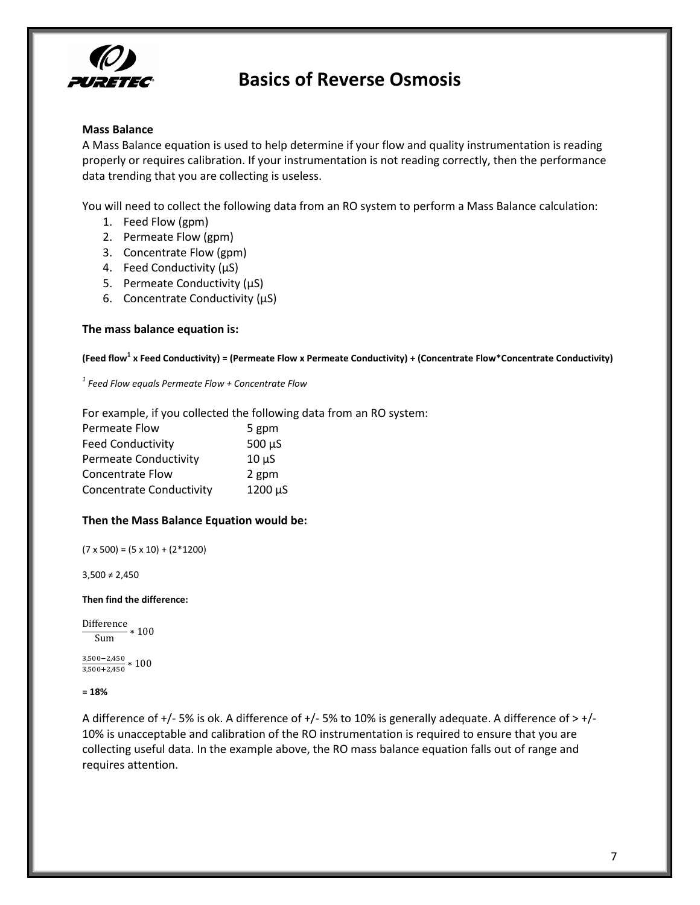

### <span id="page-6-0"></span>**Mass Balance**

A Mass Balance equation is used to help determine if your flow and quality instrumentation is reading properly or requires calibration. If your instrumentation is not reading correctly, then the performance data trending that you are collecting is useless.

You will need to collect the following data from an RO system to perform a Mass Balance calculation:

- 1. Feed Flow (gpm)
- 2. Permeate Flow (gpm)
- 3. Concentrate Flow (gpm)
- 4. Feed Conductivity  $(\mu S)$
- 5. Permeate Conductivity (µS)
- 6. Concentrate Conductivity  $(\mu S)$

### The mass balance equation is:

(Feed flow<sup>1</sup> x Feed Conductivity) = (Permeate Flow x Permeate Conductivity) + (Concentrate Flow\*Concentrate Conductivity)

 $1$  Feed Flow equals Permeate Flow + Concentrate Flow

For example, if you collected the following data from an RO system:

| Permeate Flow                   | 5 gpm       |
|---------------------------------|-------------|
| <b>Feed Conductivity</b>        | $500 \mu S$ |
| <b>Permeate Conductivity</b>    | $10 \mu S$  |
| <b>Concentrate Flow</b>         | 2 gpm       |
| <b>Concentrate Conductivity</b> | 1200 µS     |

### Then the Mass Balance Equation would be:

 $(7 \times 500) = (5 \times 10) + (2 \times 1200)$ 

 $3,500 \neq 2,450$ 

Then find the difference:

```
Difference *100Sum
```
 $\frac{3,500-2,450}{1.50} * 100$  $3,500 + 2,450$ 

 $= 18%$ 

<span id="page-6-1"></span>A difference of  $+/-5\%$  is ok. A difference of  $+/-5\%$  to 10% is generally adequate. A difference of  $> +/-$ 10% is unacceptable and calibration of the RO instrumentation is required to ensure that you are collecting useful data. In the example above, the RO mass balance equation falls out of range and requires attention.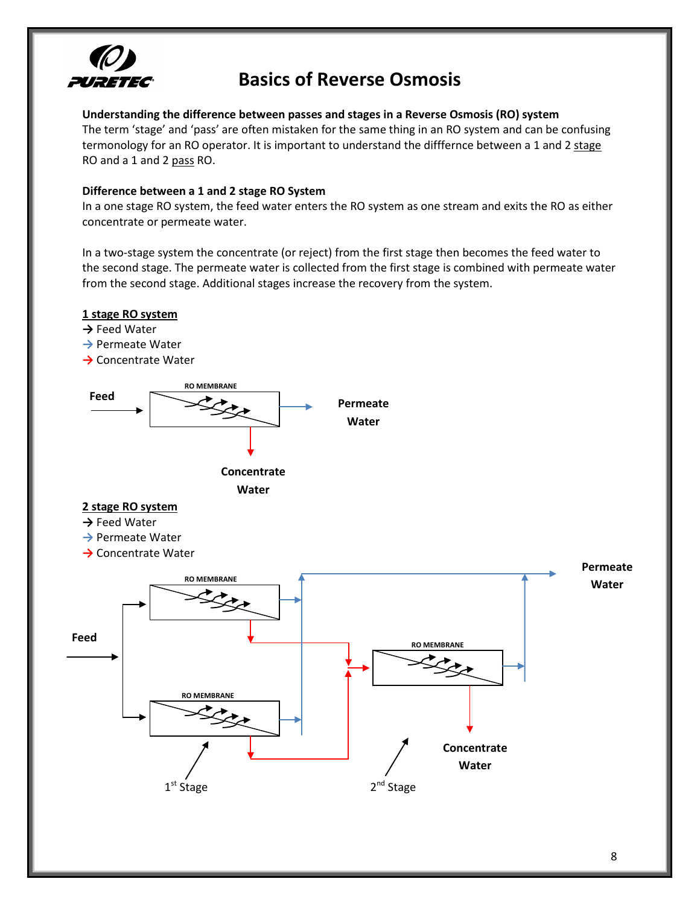

## Understanding the difference between passes and stages in a Reverse Osmosis (RO) system

The term 'stage' and 'pass' are often mistaken for the same thing in an RO system and can be confusing termonology for an RO operator. It is important to understand the difffernce between a 1 and 2 stage RO and a 1 and 2 pass RO.

# <span id="page-7-0"></span>Difference between a 1 and 2 stage RO System

In a one stage RO system, the feed water enters the RO system as one stream and exits the RO as either concentrate or permeate water.

In a two-stage system the concentrate (or reject) from the first stage then becomes the feed water to the second stage. The permeate water is collected from the first stage is combined with permeate water from the second stage. Additional stages increase the recovery from the system.

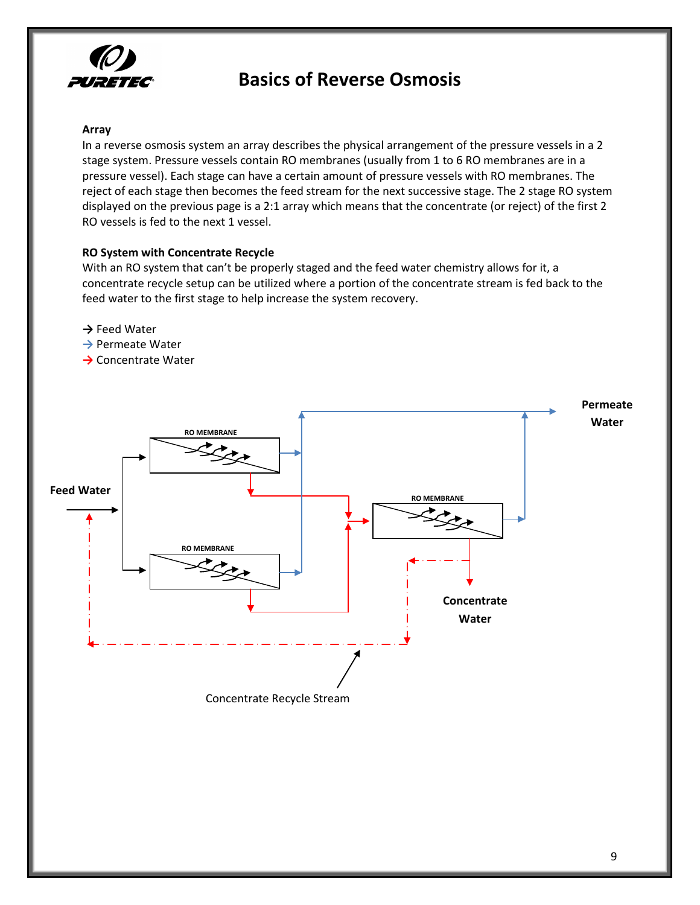

### <span id="page-8-0"></span>**Array**

In a reverse osmosis system an array describes the physical arrangement of the pressure vessels in a 2 stage system. Pressure vessels contain RO membranes (usually from 1 to 6 RO membranes are in a pressure vessel). Each stage can have a certain amount of pressure vessels with RO membranes. The reject of each stage then becomes the feed stream for the next successive stage. The 2 stage RO system displayed on the previous page is a 2:1 array which means that the concentrate (or reject) of the first 2 RO vessels is fed to the next 1 vessel.

# <span id="page-8-1"></span>**RO System with Concentrate Recycle**

With an RO system that can't be properly staged and the feed water chemistry allows for it, a concentrate recycle setup can be utilized where a portion of the concentrate stream is fed back to the feed water to the first stage to help increase the system recovery.

- $→$  **Feed Water**
- $→$  **Permeate Water**
- $→$  Concentrate Water

<span id="page-8-2"></span>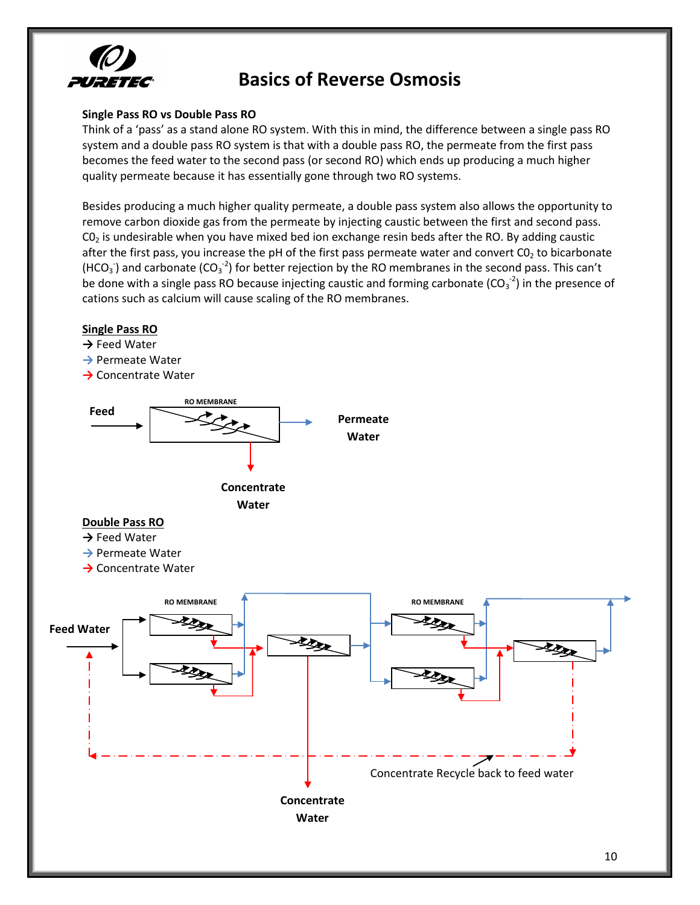

# Single Pass RO vs Double Pass RO

Think of a 'pass' as a stand alone RO system. With this in mind, the difference between a single pass RO system and a double pass RO system is that with a double pass RO, the permeate from the first pass becomes the feed water to the second pass (or second RO) which ends up producing a much higher quality permeate because it has essentially gone through two RO systems.

Besides producing a much higher quality permeate, a double pass system also allows the opportunity to remove carbon dioxide gas from the permeate by injecting caustic between the first and second pass.  $CO<sub>2</sub>$  is undesirable when you have mixed bed ion exchange resin beds after the RO. By adding caustic after the first pass, you increase the pH of the first pass permeate water and convert CO<sub>2</sub> to bicarbonate (HCO<sub>3</sub>) and carbonate (CO<sub>3</sub><sup>-2</sup>) for better rejection by the RO membranes in the second pass. This can't be done with a single pass RO because injecting caustic and forming carbonate ( $CO_3^{-2}$ ) in the presence of cations such as calcium will cause scaling of the RO membranes.

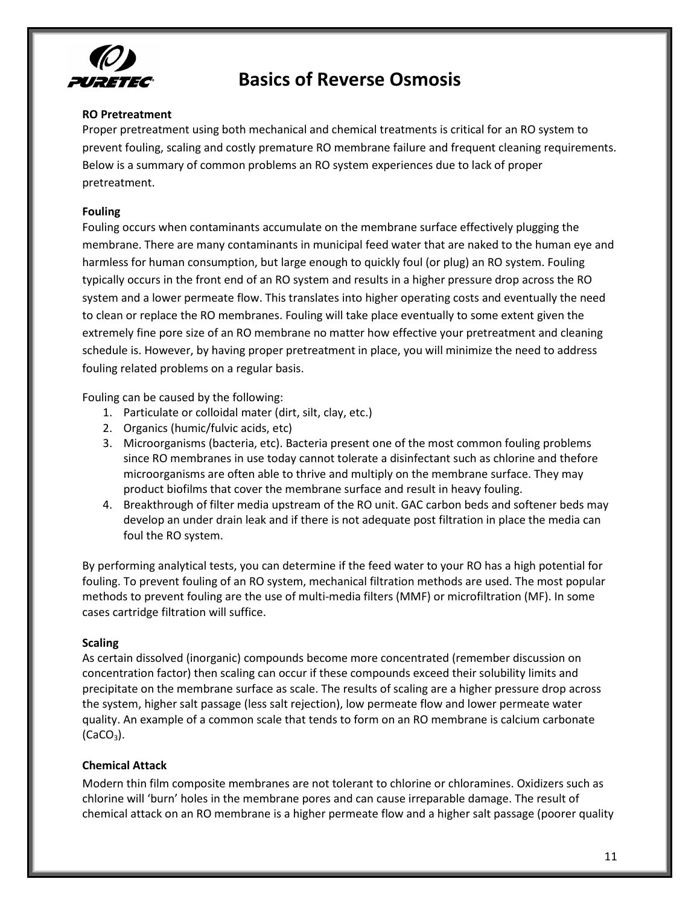

# <span id="page-10-0"></span>**RO!Pretreatment**

Proper pretreatment using both mechanical and chemical treatments is critical for an RO system to prevent fouling, scaling and costly premature RO membrane failure and frequent cleaning requirements. Below is a summary of common problems an RO system experiences due to lack of proper pretreatment.

## <span id="page-10-1"></span>**Fouling**

Fouling occurs when contaminants accumulate on the membrane surface effectively plugging the membrane. There are many contaminants in municipal feed water that are naked to the human eye and harmless for human consumption, but large enough to quickly foul (or plug) an RO system. Fouling typically occurs in the front end of an RO system and results in a higher pressure drop across the RO system and a lower permeate flow. This translates into higher operating costs and eventually the need to clean or replace the RO membranes. Fouling will take place eventually to some extent given the extremely fine pore size of an RO membrane no matter how effective your pretreatment and cleaning schedule is. However, by having proper pretreatment in place, you will minimize the need to address fouling related problems on a regular basis.

Fouling can be caused by the following:

- 1. Particulate or colloidal mater (dirt, silt, clay, etc.)
- 2. Organics (humic/fulvic acids, etc)
- 3. Microorganisms (bacteria, etc). Bacteria present one of the most common fouling problems since RO membranes in use today cannot tolerate a disinfectant such as chlorine and thefore microorganisms are often able to thrive and multiply on the membrane surface. They may product biofilms that cover the membrane surface and result in heavy fouling.
- 4. Breakthrough of filter media upstream of the RO unit. GAC carbon beds and softener beds may develop an under drain leak and if there is not adequate post filtration in place the media can foul the RO system.

By performing analytical tests, you can determine if the feed water to your RO has a high potential for fouling. To prevent fouling of an RO system, mechanical filtration methods are used. The most popular methods to prevent fouling are the use of multi-media filters (MMF) or microfiltration (MF). In some cases cartridge filtration will suffice.

### <span id="page-10-2"></span>**Scaling**

As certain dissolved (inorganic) compounds become more concentrated (remember discussion on concentration factor) then scaling can occur if these compounds exceed their solubility limits and precipitate on the membrane surface as scale. The results of scaling are a higher pressure drop across the system, higher salt passage (less salt rejection), low permeate flow and lower permeate water quality. An example of a common scale that tends to form on an RO membrane is calcium carbonate  $(CaCO<sub>3</sub>)$ .

# <span id="page-10-3"></span>**Chemical!Attack**

Modern thin film composite membranes are not tolerant to chlorine or chloramines. Oxidizers such as chlorine will 'burn' holes in the membrane pores and can cause irreparable damage. The result of chemical attack on an RO membrane is a higher permeate flow and a higher salt passage (poorer quality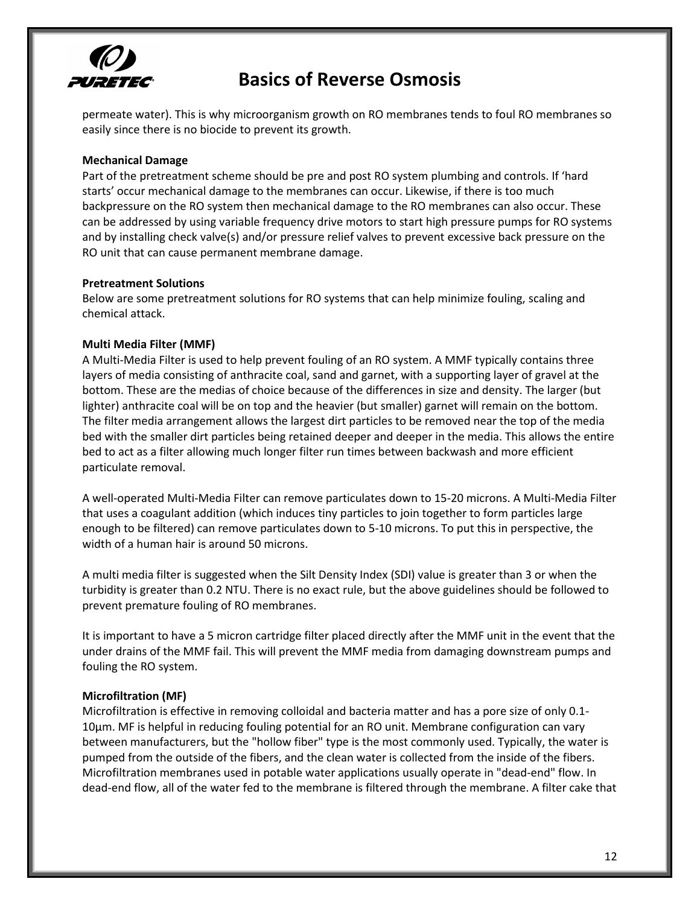

permeate water). This is why microorganism growth on RO membranes tends to foul RO membranes so easily since there is no biocide to prevent its growth.

## <span id="page-11-0"></span>**Mechanical!Damage**

Part of the pretreatment scheme should be pre and post RO system plumbing and controls. If 'hard starts' occur mechanical damage to the membranes can occur. Likewise, if there is too much backpressure on the RO system then mechanical damage to the RO membranes can also occur. These can be addressed by using variable frequency drive motors to start high pressure pumps for RO systems and by installing check valve(s) and/or pressure relief valves to prevent excessive back pressure on the RO unit that can cause permanent membrane damage.

### <span id="page-11-1"></span>**Pretreatment!Solutions**

Below are some pretreatment solutions for RO systems that can help minimize fouling, scaling and chemical attack.

## <span id="page-11-2"></span>**Multi Media Filter (MMF)**

A Multi-Media Filter is used to help prevent fouling of an RO system. A MMF typically contains three layers of media consisting of anthracite coal, sand and garnet, with a supporting layer of gravel at the bottom. These are the medias of choice because of the differences in size and density. The larger (but lighter) anthracite coal will be on top and the heavier (but smaller) garnet will remain on the bottom. The filter media arrangement allows the largest dirt particles to be removed near the top of the media bed with the smaller dirt particles being retained deeper and deeper in the media. This allows the entire bed to act as a filter allowing much longer filter run times between backwash and more efficient particulate removal.

A well-operated Multi-Media Filter can remove particulates down to 15-20 microns. A Multi-Media Filter that uses a coagulant addition (which induces tiny particles to join together to form particles large enough to be filtered) can remove particulates down to 5-10 microns. To put this in perspective, the width of a human hair is around 50 microns.

A multi media filter is suggested when the Silt Density Index (SDI) value is greater than 3 or when the turbidity is greater than 0.2 NTU. There is no exact rule, but the above guidelines should be followed to prevent premature fouling of RO membranes.

It is important to have a 5 micron cartridge filter placed directly after the MMF unit in the event that the under drains of the MMF fail. This will prevent the MMF media from damaging downstream pumps and fouling the RO system.

### <span id="page-11-3"></span>**Microfiltration (MF)**

Microfiltration is effective in removing colloidal and bacteria matter and has a pore size of only 0.1-10µm. MF is helpful in reducing fouling potential for an RO unit. Membrane configuration can vary between manufacturers, but the "hollow fiber" type is the most commonly used. Typically, the water is pumped from the outside of the fibers, and the clean water is collected from the inside of the fibers. Microfiltration membranes used in potable water applications usually operate in "dead-end" flow. In dead-end flow, all of the water fed to the membrane is filtered through the membrane. A filter cake that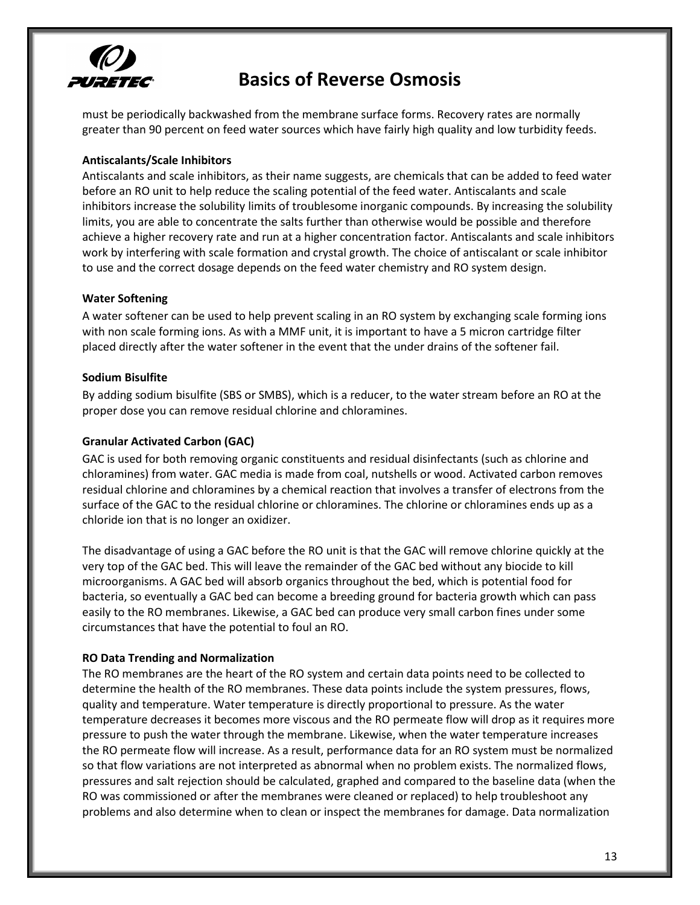

must be periodically backwashed from the membrane surface forms. Recovery rates are normally greater than 90 percent on feed water sources which have fairly high quality and low turbidity feeds.

# <span id="page-12-0"></span>**Antiscalants/Scale!Inhibitors**

Antiscalants and scale inhibitors, as their name suggests, are chemicals that can be added to feed water before an RO unit to help reduce the scaling potential of the feed water. Antiscalants and scale inhibitors increase the solubility limits of troublesome inorganic compounds. By increasing the solubility limits, you are able to concentrate the salts further than otherwise would be possible and therefore achieve a higher recovery rate and run at a higher concentration factor. Antiscalants and scale inhibitors work by interfering with scale formation and crystal growth. The choice of antiscalant or scale inhibitor to use and the correct dosage depends on the feed water chemistry and RO system design.

### <span id="page-12-1"></span>**Water Softening**

A water softener can be used to help prevent scaling in an RO system by exchanging scale forming ions with non scale forming ions. As with a MMF unit, it is important to have a 5 micron cartridge filter placed directly after the water softener in the event that the under drains of the softener fail.

## <span id="page-12-2"></span>**Sodium Bisulfite**

By adding sodium bisulfite (SBS or SMBS), which is a reducer, to the water stream before an RO at the proper dose you can remove residual chlorine and chloramines.

## <span id="page-12-3"></span>**Granular Activated Carbon (GAC)**

GAC is used for both removing organic constituents and residual disinfectants (such as chlorine and chloramines) from water. GAC media is made from coal, nutshells or wood. Activated carbon removes residual chlorine and chloramines by a chemical reaction that involves a transfer of electrons from the surface of the GAC to the residual chlorine or chloramines. The chlorine or chloramines ends up as a chloride ion that is no longer an oxidizer.

The disadvantage of using a GAC before the RO unit is that the GAC will remove chlorine quickly at the very top of the GAC bed. This will leave the remainder of the GAC bed without any biocide to kill microorganisms. A GAC bed will absorb organics throughout the bed, which is potential food for bacteria, so eventually a GAC bed can become a breeding ground for bacteria growth which can pass easily to the RO membranes. Likewise, a GAC bed can produce very small carbon fines under some circumstances that have the potential to foul an RO.

### <span id="page-12-4"></span>**RO Data Trending and Normalization**

The RO membranes are the heart of the RO system and certain data points need to be collected to determine the health of the RO membranes. These data points include the system pressures, flows, quality and temperature. Water temperature is directly proportional to pressure. As the water temperature decreases it becomes more viscous and the RO permeate flow will drop as it requires more pressure to push the water through the membrane. Likewise, when the water temperature increases the RO permeate flow will increase. As a result, performance data for an RO system must be normalized so that flow variations are not interpreted as abnormal when no problem exists. The normalized flows, pressures and salt rejection should be calculated, graphed and compared to the baseline data (when the RO was commissioned or after the membranes were cleaned or replaced) to help troubleshoot any problems and also determine when to clean or inspect the membranes for damage. Data normalization